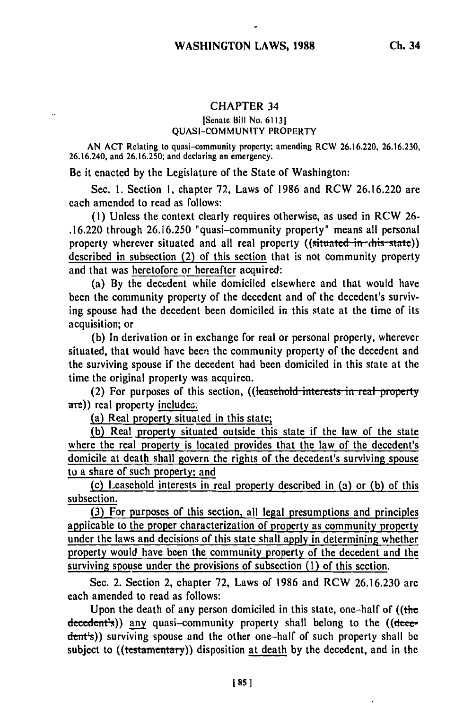## **CHAPTER 34**

## ISenate Bill No. **61131 QUASI-COMMUNITY** PROPERTY

**AN ACT** Relating to quasi-community property; amending RCW **26.16.220, 26.16.230,** 26.16.240, and **26.16.250;** and declaring an emergency.

Be it enacted **by** the Legislature of the State of Washington:

Sec. **1.** Section **1,** chapter **72,** Laws of **1986** and RCW **26.16.220** are each amended to read as follows:

**(1)** Unless the context clearly requires otherwise, as used in RCW **26- .16.220** through **26.16.250** "quasi-community property" means all personal property wherever situated and all real property ((situated in this state)) described in subsection (2) of this section that is not community property and that was heretofore or hereafter acquired:

(a) **By** the decedent while domiciled elsewhere and that would have been the community property of the decedent and of the decedent's surviving spouse had the decedent been domiciled in this state at the time of its acquisition; or

**(b)** In derivation or in exchange for real or personal property, wherever situated, that would have been the community property of the decedent and the surviving spouse if the decedent had been domiciled in this state at the time the original property was acquirea.

(2) For purposes of this section, ((leasehold interests in real property are)) real property includes:

(a) Real property situated in this state;

(b) Real property situated outside this state if the law of the state where the real property is located provides that the law of the decedent's domicile at death shall govern the rights of the decedent's surviving spouse to a share of such property; and

(c) Leasehold interests in real property described in (a) or **(b)** of this subsection.

**(3)** For purposes of this section, all legal presumptions and principles applicable to the proper characterization of property as community property under the laws and decisions of this state shall apply in determining whether property would have been the community property of the decedent and the surviving spouse under the provisions of subsection **(1)** of this section.

Sec. 2. Section 2, chapter **72,** Laws of **1986** and RCW **26.16.230** are each amended to read as follows:

Upon the death of any person domiciled in this state, one-half of ((the decedent's)) any quasi-community property shall belong to the ((decedent's)) surviving spouse and the other one-half of such property shall be subject to ((testamentary)) disposition at death by the decedent, and in the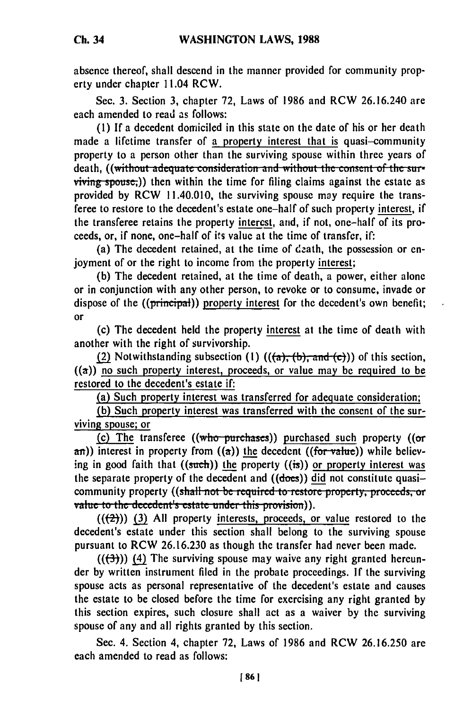absence thereof, shall descend in the manner provided for community property under chapter 11.04 RCW.

Sec. 3. Section 3, chapter 72, Laws of 1986 and RCW 26.16.240 are each amended to read as follows:

**(1)** If a decedent domiciled in this state on the date of his or her death made a lifetime transfer of a property interest that is quasi-community property to a person other than the surviving spouse within three years of death, ((without adequate consideration and without the consent of the sur-<br>viving spouse;)) then within the time for filing claims against the estate as provided by RCW 11.40.010, the surviving spouse may require the transferee to restore to the decedent's estate one-half of such property interest, if the transferee retains the property interest, and, if not, one-half of its proceeds, or, if none, one-half of its value at the time of transfer, if:

(a) The decedent retained, at the time of death, the possession or enjoyment of or the right to income from the property interest;

(b) The decedent retained, at the time of death, a power, either alone or in conjunction with any other person, to revoke or to consume, invade or dispose of the ((principal)) property interest for the decedent's own benefit; or

(c) The decedent held the property interest at the time of death with another with the right of survivorship.

(2) Notwithstanding subsection (1)  $((a), (b),$  and  $(c))$  of this section,  $((a))$  no such property interest, proceeds, or value may be required to be restored to the decedent's estate if:

(a) Such property interest was transferred for adequate consideration;

**(b)** Such property interest was transferred with the consent of the surviving spouse; or

(c) The transferee  $((who-purchases))$  purchased such property  $((or$  $\sigma$ )) interest in property from  $(\sigma)$ ) the decedent ((for value)) while believing in good faith that  $((such))$  the property  $((is))$  or property interest was the separate property of the decedent and  $((does))$  did not constitute quasicommunity property ((s<del>hall not be required to restore property, proceeds, or</del><br>value to the decedent's estate under this provision)).

 $((2))$  (3) All property interests, proceeds, or value restored to the decedent's estate under this section shall belong to the surviving spouse pursuant to RCW 26.16.230 as though the transfer had never been made.

 $((+3))$  (4) The surviving spouse may waive any right granted hereunder **by** written instrument filed in the probate proceedings. If the surviving spouse acts as personal representative of the decedent's estate and causes the estate to be closed before the time for exercising any right granted **by** this section expires, such closure shall act as a waiver by the surviving spouse of any and all rights granted **by** this section.

Sec. 4. Section 4, chapter **72,** Laws of 1986 and RCW 26.16.250 are each amended to read as follows: